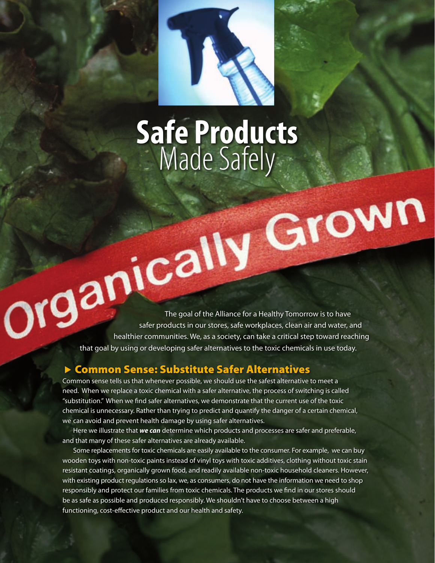

# **Safe Products** Made Safely

**The goal of the Alliance for a Healthy Tomorrow is to have** safer products in our stores, safe workplaces, clean air and water, and healthier communities. We, as a society, can take a critical step toward reaching that goal by using or developing safer alternatives to the toxic chemicals in use today.

#### ▶ Common Sense: Substitute Safer Alternatives

Common sense tells us that whenever possible, we should use the safest alternative to meet a need. When we replace a toxic chemical with a safer alternative, the process of switching is called "substitution." When we find safer alternatives, we demonstrate that the current use of the toxic chemical is unnecessary. Rather than trying to predict and quantify the danger of a certain chemical, we can avoid and prevent health damage by using safer alternatives.

 Here we illustrate that *we can* determine which products and processes are safer and preferable, and that many of these safer alternatives are already available.

Some replacements for toxic chemicals are easily available to the consumer. For example, we can buy wooden toys with non-toxic paints instead of vinyl toys with toxic additives, clothing without toxic stain resistant coatings, organically grown food, and readily available non-toxic household cleaners. However, with existing product regulations so lax, we, as consumers, do not have the information we need to shop responsibly and protect our families from toxic chemicals. The products we find in our stores should be as safe as possible and produced responsibly. We shouldn't have to choose between a high functioning, cost-effective product and our health and safety.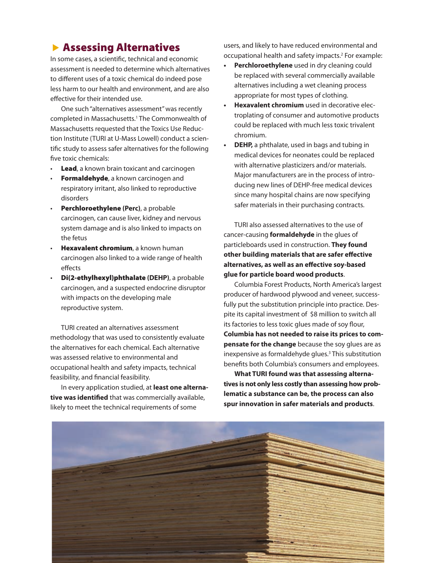### **Assessing Alternatives**

In some cases, a scientific, technical and economic assessment is needed to determine which alternatives to different uses of a toxic chemical do indeed pose less harm to our health and environment, and are also effective for their intended use.

 One such"alternatives assessment"was recently completed in Massachusetts.1 The Commonwealth of Massachusetts requested that the Toxics Use Reduction Institute (TURI at U-Mass Lowell) conduct a scientific study to assess safer alternatives for the following five toxic chemicals:

- Lead, a known brain toxicant and carcinogen
- **Formaldehyde**, a known carcinogen and respiratory irritant, also linked to reproductive disorders
- • Perchloroethylene **(Perc)**, a probable carcinogen, can cause liver, kidney and nervous system damage and is also linked to impacts on the fetus
- **Hexavalent chromium**, a known human carcinogen also linked to a wide range of health effects
- **Di(2-ethylhexyl)phthalate (DEHP)**, a probable carcinogen, and a suspected endocrine disruptor with impacts on the developing male reproductive system.

 TURI created an alternatives assessment methodology that was used to consistently evaluate the alternatives for each chemical. Each alternative was assessed relative to environmental and occupational health and safety impacts, technical feasibility, and financial feasibility.

 In every application studied, at **least one alternative was identified** that was commercially available, likely to meet the technical requirements of some

users, and likely to have reduced environmental and occupational health and safety impacts.2 For example:

- **• Perchloroethylene** used in dry cleaning could be replaced with several commercially available alternatives including a wet cleaning process appropriate for most types of clothing.
- **• Hexavalent chromium** used in decorative electroplating of consumer and automotive products could be replaced with much less toxic trivalent chromium.
- **• DEHP,** a phthalate, used in bags and tubing in medical devices for neonates could be replaced with alternative plasticizers and/or materials. Major manufacturers are in the process of introducing new lines of DEHP-free medical devices since many hospital chains are now specifying safer materials in their purchasing contracts.

 TURI also assessed alternatives to the use of cancer-causing **formaldehyde** in the glues of particleboards used in construction. **They found other building materials that are safer effective alternatives, as well as an effective soy-based glue for particle board wood products**.

 Columbia Forest Products, North America's largest producer of hardwood plywood and veneer, successfully put the substitution principle into practice. Despite its capital investment of \$8 million to switch all its factories to less toxic glues made of soy flour, **Columbia has not needed to raise its prices to compensate for the change** because the soy glues are as inexpensive as formaldehyde glues.<sup>3</sup> This substitution benefits both Columbia's consumers and employees.

**What TURI found was that assessing alternatives is not only less costly than assessing how problematic a substance can be, the process can also spur innovation in safer materials and products**.

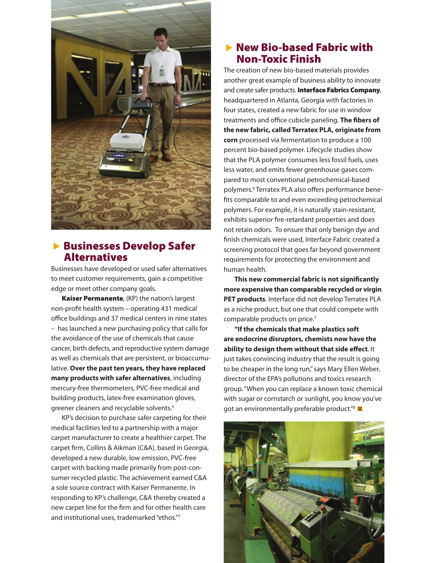

#### **Businesses Develop Safer** Alternatives

Businesses have developed or used safer alternatives to meet customer requirements, gain a competitive edge or meet other company goals.

Kaiser Permanente, (KP) the nation's largest non-profit health system – operating 431 medical office buildings and 37 medical centers in nine states – has launched a new purchasing policy that calls for the avoidance of the use of chemicals that cause cancer, birth defects, and reproductive system damage as well as chemicals that are persistent, or bioaccumulative. **Over the past ten years, they have replaced many products with safer alternatives**, including mercury-free thermometers, PVC-free medical and building products, latex-free examination gloves, greener cleaners and recyclable solvents.4

 KP's decision to purchase safer carpeting for their medical facilities led to a partnership with a major carpet manufacturer to create a healthier carpet. The carpet firm, Collins & Aikman (C&A), based in Georgia, developed a new durable, low emission, PVC-free carpet with backing made primarily from post-consumer recycled plastic. The achievement earned C&A a sole source contract with Kaiser Permanente. In responding to KP's challenge, C&A thereby created a new carpet line for the firm and for other health care and institutional uses, trademarked "ethos."<sup>5</sup>

#### $\blacktriangleright$  New Bio-based Fabric with Non-Toxic Finish

The creation of new bio-based materials provides another great example of business ability to innovate and create safer products. Interface Fabrics Company, headquartered in Atlanta, Georgia with factories in four states, created a new fabric for use in window treatments and office cubicle paneling. **The fibers of the new fabric, called Terratex PLA, originate from corn** processed via fermentation to produce a 100 percent bio-based polymer. Lifecycle studies show that the PLA polymer consumes less fossil fuels, uses less water, and emits fewer greenhouse gases compared to most conventional petrochemical-based polymers.6 Terratex PLA also offers performance benefits comparable to and even exceeding petrochemical polymers. For example, it is naturally stain-resistant, exhibits superior fire-retardant properties and does not retain odors. To ensure that only benign dye and finish chemicals were used, Interface Fabric created a screening protocol that goes far beyond government requirements for protecting the environment and human health.

**This new commercial fabric is not significantly more expensive than comparable recycled or virgin PET products**. Interface did not develop Terratex PLA as a niche product, but one that could compete with comparable products on price.<sup>7</sup>

**"If the chemicals that make plastics soft are endocrine disruptors, chemists now have the ability to design them without that side effect**. It just takes convincing industry that the result is going to be cheaper in the long run,"says Mary Ellen Weber, director of the EPA's pollutions and toxics research group."When you can replace a known toxic chemical with sugar or cornstarch or sunlight, you know you've got an environmentally preferable product."<sup>8</sup>